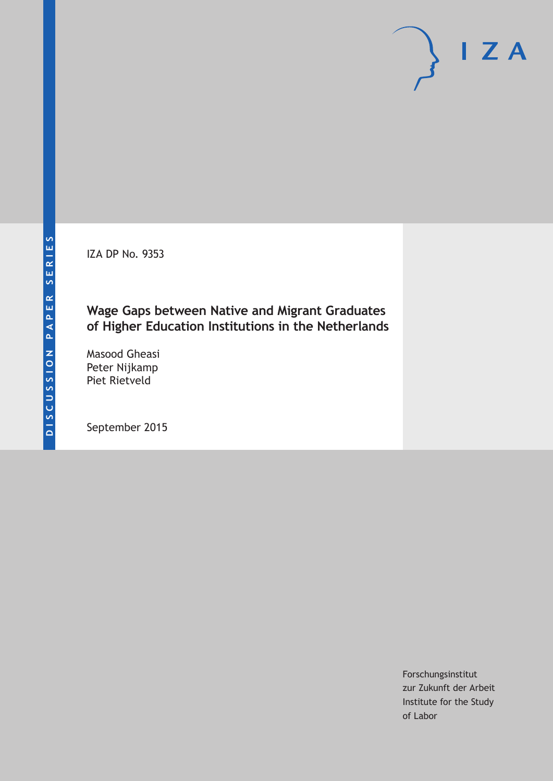IZA DP No. 9353

### **Wage Gaps between Native and Migrant Graduates of Higher Education Institutions in the Netherlands**

Masood Gheasi Peter Nijkamp Piet Rietveld

September 2015

Forschungsinstitut zur Zukunft der Arbeit Institute for the Study of Labor

 $I Z A$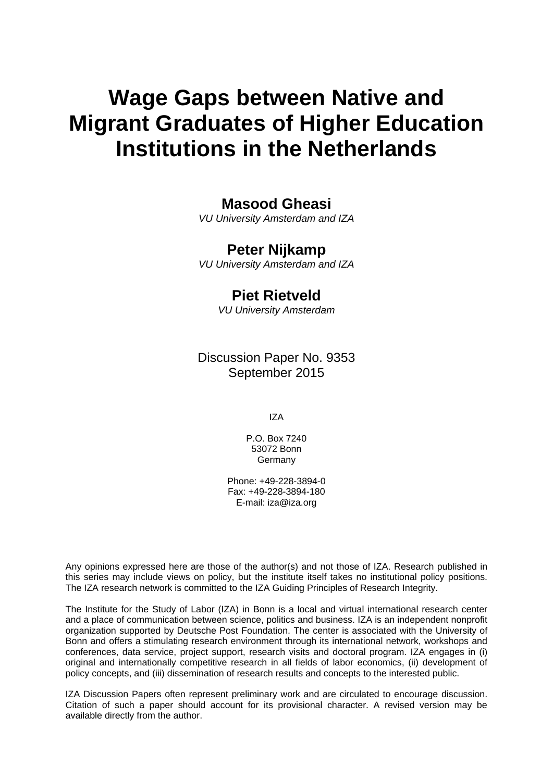# **Wage Gaps between Native and Migrant Graduates of Higher Education Institutions in the Netherlands**

### **Masood Gheasi**

*VU University Amsterdam and IZA* 

### **Peter Nijkamp**

*VU University Amsterdam and IZA* 

### **Piet Rietveld**

*VU University Amsterdam*

Discussion Paper No. 9353 September 2015

IZA

P.O. Box 7240 53072 Bonn Germany

Phone: +49-228-3894-0 Fax: +49-228-3894-180 E-mail: iza@iza.org

Any opinions expressed here are those of the author(s) and not those of IZA. Research published in this series may include views on policy, but the institute itself takes no institutional policy positions. The IZA research network is committed to the IZA Guiding Principles of Research Integrity.

The Institute for the Study of Labor (IZA) in Bonn is a local and virtual international research center and a place of communication between science, politics and business. IZA is an independent nonprofit organization supported by Deutsche Post Foundation. The center is associated with the University of Bonn and offers a stimulating research environment through its international network, workshops and conferences, data service, project support, research visits and doctoral program. IZA engages in (i) original and internationally competitive research in all fields of labor economics, (ii) development of policy concepts, and (iii) dissemination of research results and concepts to the interested public.

IZA Discussion Papers often represent preliminary work and are circulated to encourage discussion. Citation of such a paper should account for its provisional character. A revised version may be available directly from the author.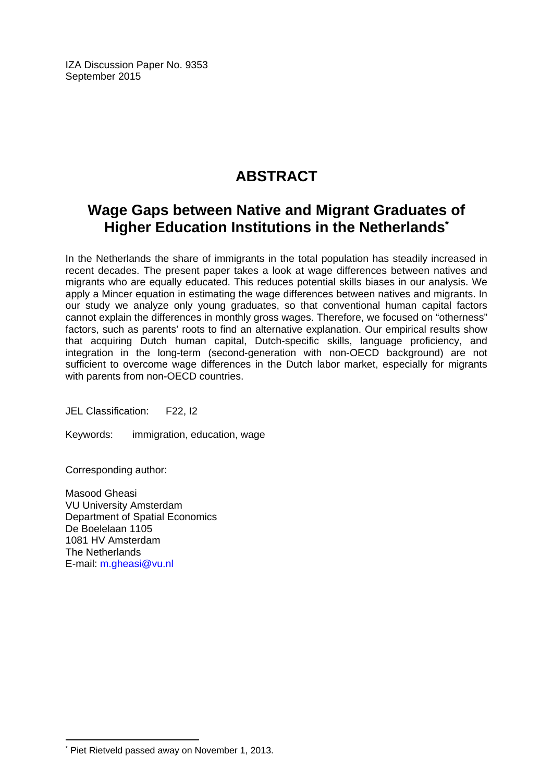IZA Discussion Paper No. 9353 September 2015

# **ABSTRACT**

# **Wage Gaps between Native and Migrant Graduates of Higher Education Institutions in the Netherlands\***

In the Netherlands the share of immigrants in the total population has steadily increased in recent decades. The present paper takes a look at wage differences between natives and migrants who are equally educated. This reduces potential skills biases in our analysis. We apply a Mincer equation in estimating the wage differences between natives and migrants. In our study we analyze only young graduates, so that conventional human capital factors cannot explain the differences in monthly gross wages. Therefore, we focused on "otherness" factors, such as parents' roots to find an alternative explanation. Our empirical results show that acquiring Dutch human capital, Dutch-specific skills, language proficiency, and integration in the long-term (second-generation with non-OECD background) are not sufficient to overcome wage differences in the Dutch labor market, especially for migrants with parents from non-OECD countries.

JEL Classification: F22, I2

Keywords: immigration, education, wage

Corresponding author:

 $\overline{a}$ 

Masood Gheasi VU University Amsterdam Department of Spatial Economics De Boelelaan 1105 1081 HV Amsterdam The Netherlands E-mail: m.gheasi@vu.nl

<sup>\*</sup> Piet Rietveld passed away on November 1, 2013.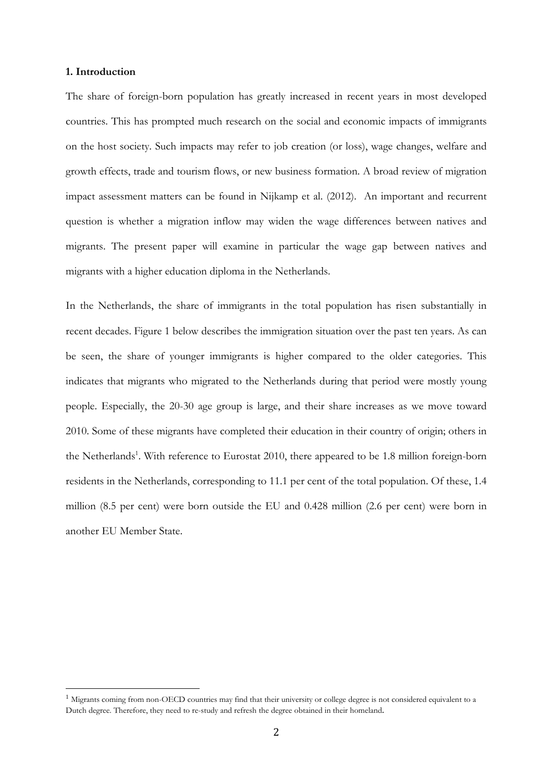#### **1. Introduction**

The share of foreign-born population has greatly increased in recent years in most developed countries. This has prompted much research on the social and economic impacts of immigrants on the host society. Such impacts may refer to job creation (or loss), wage changes, welfare and growth effects, trade and tourism flows, or new business formation. A broad review of migration impact assessment matters can be found in Nijkamp et al. (2012). An important and recurrent question is whether a migration inflow may widen the wage differences between natives and migrants. The present paper will examine in particular the wage gap between natives and migrants with a higher education diploma in the Netherlands.

In the Netherlands, the share of immigrants in the total population has risen substantially in recent decades. Figure 1 below describes the immigration situation over the past ten years. As can be seen, the share of younger immigrants is higher compared to the older categories. This indicates that migrants who migrated to the Netherlands during that period were mostly young people. Especially, the 20-30 age group is large, and their share increases as we move toward 2010. Some of these migrants have completed their education in their country of origin; others in the Netherlands<sup>1</sup>. With reference to Eurostat 2010, there appeared to be 1.8 million foreign-born residents in the Netherlands, corresponding to 11.1 per cent of the total population. Of these, 1.4 million (8.5 per cent) were born outside the EU and 0.428 million (2.6 per cent) were born in another EU Member State.

 

 $1$  Migrants coming from non-OECD countries may find that their university or college degree is not considered equivalent to a Dutch degree. Therefore, they need to re-study and refresh the degree obtained in their homeland.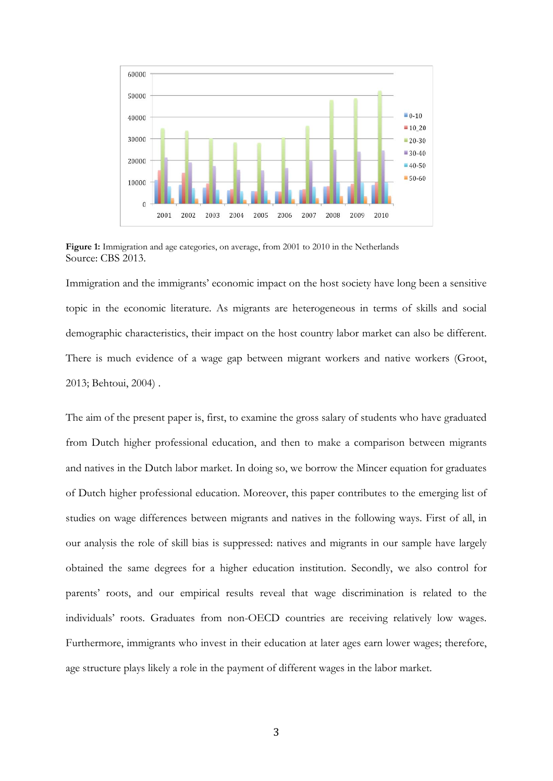

**Figure 1:** Immigration and age categories, on average, from 2001 to 2010 in the Netherlands Source: CBS 2013.

Immigration and the immigrants' economic impact on the host society have long been a sensitive topic in the economic literature. As migrants are heterogeneous in terms of skills and social demographic characteristics, their impact on the host country labor market can also be different. There is much evidence of a wage gap between migrant workers and native workers (Groot, 2013; Behtoui, 2004) .

The aim of the present paper is, first, to examine the gross salary of students who have graduated from Dutch higher professional education, and then to make a comparison between migrants and natives in the Dutch labor market. In doing so, we borrow the Mincer equation for graduates of Dutch higher professional education. Moreover, this paper contributes to the emerging list of studies on wage differences between migrants and natives in the following ways. First of all, in our analysis the role of skill bias is suppressed: natives and migrants in our sample have largely obtained the same degrees for a higher education institution. Secondly, we also control for parents' roots, and our empirical results reveal that wage discrimination is related to the individuals' roots. Graduates from non-OECD countries are receiving relatively low wages. Furthermore, immigrants who invest in their education at later ages earn lower wages; therefore, age structure plays likely a role in the payment of different wages in the labor market.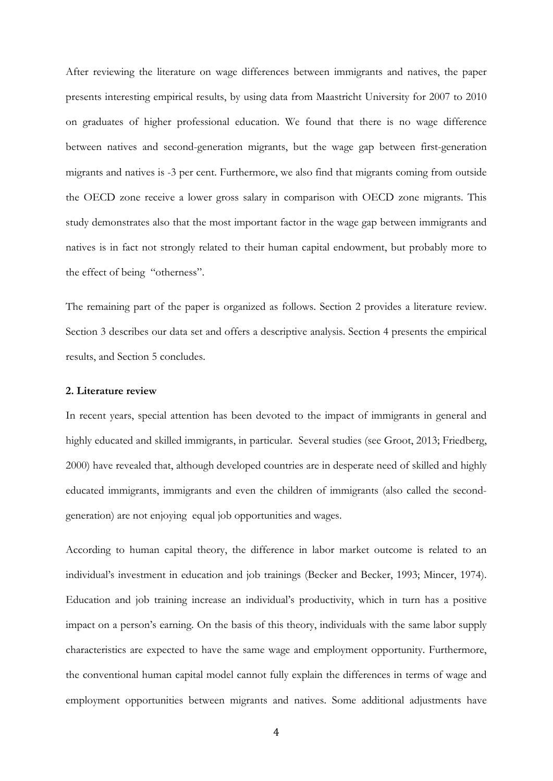After reviewing the literature on wage differences between immigrants and natives, the paper presents interesting empirical results, by using data from Maastricht University for 2007 to 2010 on graduates of higher professional education. We found that there is no wage difference between natives and second-generation migrants, but the wage gap between first-generation migrants and natives is -3 per cent. Furthermore, we also find that migrants coming from outside the OECD zone receive a lower gross salary in comparison with OECD zone migrants. This study demonstrates also that the most important factor in the wage gap between immigrants and natives is in fact not strongly related to their human capital endowment, but probably more to the effect of being "otherness".

The remaining part of the paper is organized as follows. Section 2 provides a literature review. Section 3 describes our data set and offers a descriptive analysis. Section 4 presents the empirical results, and Section 5 concludes.

#### **2. Literature review**

In recent years, special attention has been devoted to the impact of immigrants in general and highly educated and skilled immigrants, in particular. Several studies (see Groot, 2013; Friedberg, 2000) have revealed that, although developed countries are in desperate need of skilled and highly educated immigrants, immigrants and even the children of immigrants (also called the secondgeneration) are not enjoying equal job opportunities and wages.

According to human capital theory, the difference in labor market outcome is related to an individual's investment in education and job trainings (Becker and Becker, 1993; Mincer, 1974). Education and job training increase an individual's productivity, which in turn has a positive impact on a person's earning. On the basis of this theory, individuals with the same labor supply characteristics are expected to have the same wage and employment opportunity. Furthermore, the conventional human capital model cannot fully explain the differences in terms of wage and employment opportunities between migrants and natives. Some additional adjustments have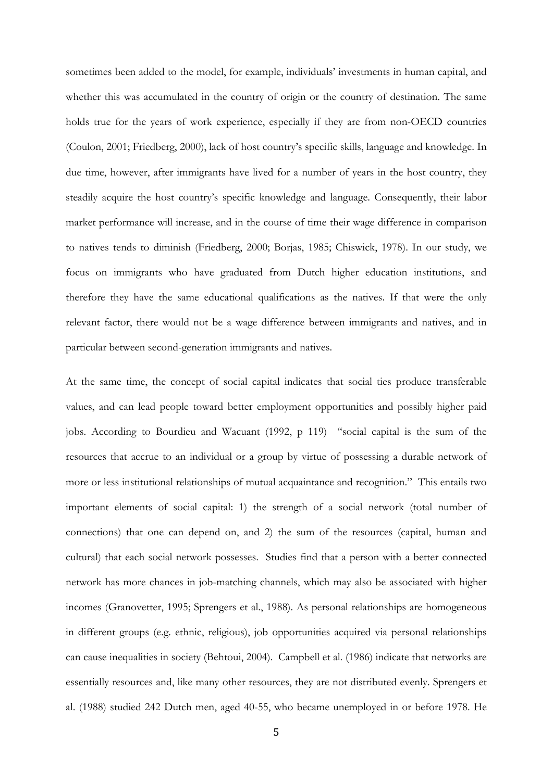sometimes been added to the model, for example, individuals' investments in human capital, and whether this was accumulated in the country of origin or the country of destination. The same holds true for the years of work experience, especially if they are from non-OECD countries (Coulon, 2001; Friedberg, 2000), lack of host country's specific skills, language and knowledge. In due time, however, after immigrants have lived for a number of years in the host country, they steadily acquire the host country's specific knowledge and language. Consequently, their labor market performance will increase, and in the course of time their wage difference in comparison to natives tends to diminish (Friedberg, 2000; Borjas, 1985; Chiswick, 1978). In our study, we focus on immigrants who have graduated from Dutch higher education institutions, and therefore they have the same educational qualifications as the natives. If that were the only relevant factor, there would not be a wage difference between immigrants and natives, and in particular between second-generation immigrants and natives.

At the same time, the concept of social capital indicates that social ties produce transferable values, and can lead people toward better employment opportunities and possibly higher paid jobs. According to Bourdieu and Wacuant (1992, p 119) "social capital is the sum of the resources that accrue to an individual or a group by virtue of possessing a durable network of more or less institutional relationships of mutual acquaintance and recognition." This entails two important elements of social capital: 1) the strength of a social network (total number of connections) that one can depend on, and 2) the sum of the resources (capital, human and cultural) that each social network possesses. Studies find that a person with a better connected network has more chances in job-matching channels, which may also be associated with higher incomes (Granovetter, 1995; Sprengers et al., 1988). As personal relationships are homogeneous in different groups (e.g. ethnic, religious), job opportunities acquired via personal relationships can cause inequalities in society (Behtoui, 2004). Campbell et al. (1986) indicate that networks are essentially resources and, like many other resources, they are not distributed evenly. Sprengers et al. (1988) studied 242 Dutch men, aged 40-55, who became unemployed in or before 1978. He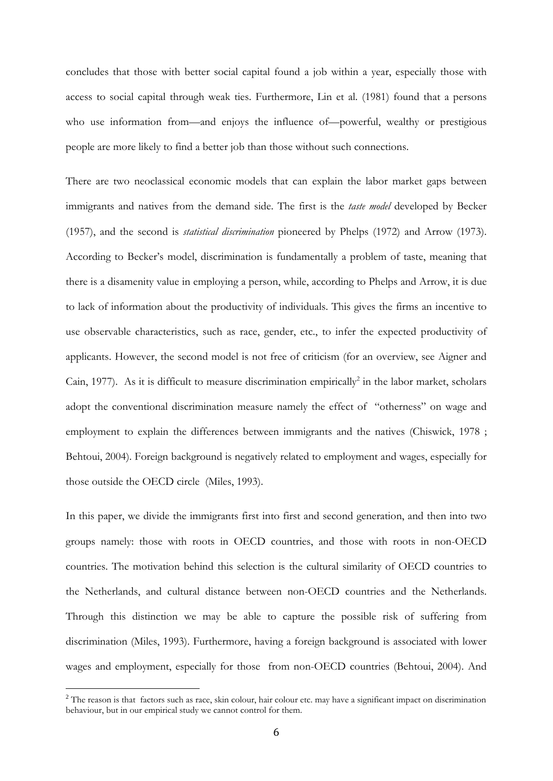concludes that those with better social capital found a job within a year, especially those with access to social capital through weak ties. Furthermore, Lin et al. (1981) found that a persons who use information from—and enjoys the influence of—powerful, wealthy or prestigious people are more likely to find a better job than those without such connections.

There are two neoclassical economic models that can explain the labor market gaps between immigrants and natives from the demand side. The first is the *taste model* developed by Becker (1957), and the second is *statistical discrimination* pioneered by Phelps (1972) and Arrow (1973). According to Becker's model, discrimination is fundamentally a problem of taste, meaning that there is a disamenity value in employing a person, while, according to Phelps and Arrow, it is due to lack of information about the productivity of individuals. This gives the firms an incentive to use observable characteristics, such as race, gender, etc., to infer the expected productivity of applicants. However, the second model is not free of criticism (for an overview, see Aigner and Cain, 1977). As it is difficult to measure discrimination empirically<sup>2</sup> in the labor market, scholars adopt the conventional discrimination measure namely the effect of "otherness" on wage and employment to explain the differences between immigrants and the natives (Chiswick, 1978 ; Behtoui, 2004). Foreign background is negatively related to employment and wages, especially for those outside the OECD circle (Miles, 1993).

In this paper, we divide the immigrants first into first and second generation, and then into two groups namely: those with roots in OECD countries, and those with roots in non-OECD countries. The motivation behind this selection is the cultural similarity of OECD countries to the Netherlands, and cultural distance between non-OECD countries and the Netherlands. Through this distinction we may be able to capture the possible risk of suffering from discrimination (Miles, 1993). Furthermore, having a foreign background is associated with lower wages and employment, especially for those from non-OECD countries (Behtoui, 2004). And

 

<sup>&</sup>lt;sup>2</sup> The reason is that factors such as race, skin colour, hair colour etc. may have a significant impact on discrimination behaviour, but in our empirical study we cannot control for them.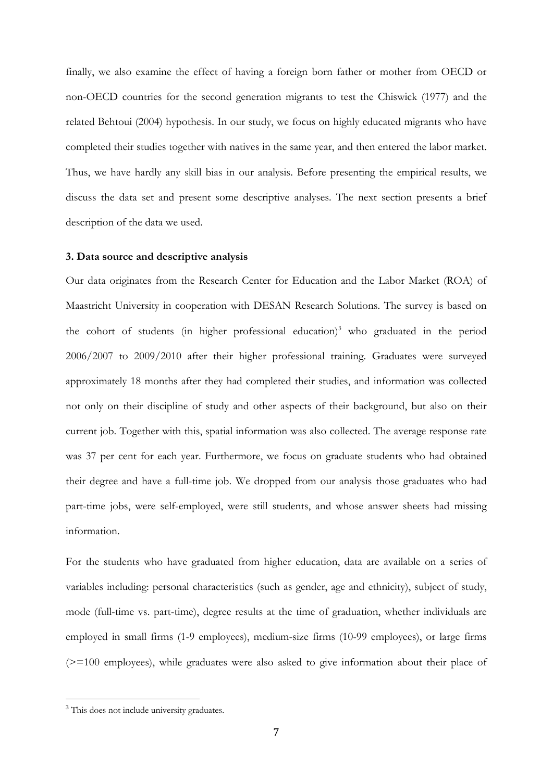finally, we also examine the effect of having a foreign born father or mother from OECD or non-OECD countries for the second generation migrants to test the Chiswick (1977) and the related Behtoui (2004) hypothesis. In our study, we focus on highly educated migrants who have completed their studies together with natives in the same year, and then entered the labor market. Thus, we have hardly any skill bias in our analysis. Before presenting the empirical results, we discuss the data set and present some descriptive analyses. The next section presents a brief description of the data we used.

#### **3. Data source and descriptive analysis**

Our data originates from the Research Center for Education and the Labor Market (ROA) of Maastricht University in cooperation with DESAN Research Solutions. The survey is based on the cohort of students (in higher professional education)<sup>3</sup> who graduated in the period 2006/2007 to 2009/2010 after their higher professional training. Graduates were surveyed approximately 18 months after they had completed their studies, and information was collected not only on their discipline of study and other aspects of their background, but also on their current job. Together with this, spatial information was also collected. The average response rate was 37 per cent for each year. Furthermore, we focus on graduate students who had obtained their degree and have a full-time job. We dropped from our analysis those graduates who had part-time jobs, were self-employed, were still students, and whose answer sheets had missing information.

For the students who have graduated from higher education, data are available on a series of variables including: personal characteristics (such as gender, age and ethnicity), subject of study, mode (full-time vs. part-time), degree results at the time of graduation, whether individuals are employed in small firms (1-9 employees), medium-size firms (10-99 employees), or large firms (>=100 employees), while graduates were also asked to give information about their place of

 

<sup>&</sup>lt;sup>3</sup> This does not include university graduates.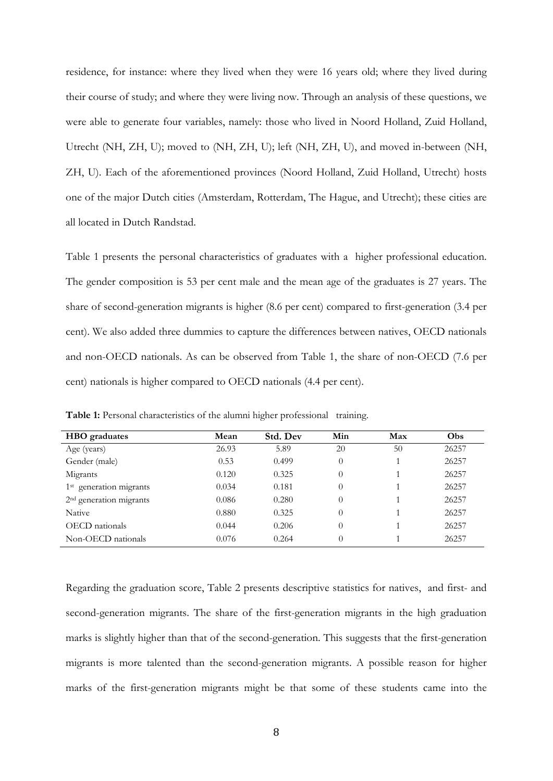residence, for instance: where they lived when they were 16 years old; where they lived during their course of study; and where they were living now. Through an analysis of these questions, we were able to generate four variables, namely: those who lived in Noord Holland, Zuid Holland, Utrecht (NH, ZH, U); moved to (NH, ZH, U); left (NH, ZH, U), and moved in-between (NH, ZH, U). Each of the aforementioned provinces (Noord Holland, Zuid Holland, Utrecht) hosts one of the major Dutch cities (Amsterdam, Rotterdam, The Hague, and Utrecht); these cities are all located in Dutch Randstad.

Table 1 presents the personal characteristics of graduates with a higher professional education. The gender composition is 53 per cent male and the mean age of the graduates is 27 years. The share of second-generation migrants is higher (8.6 per cent) compared to first-generation (3.4 per cent). We also added three dummies to capture the differences between natives, OECD nationals and non-OECD nationals. As can be observed from Table 1, the share of non-OECD (7.6 per cent) nationals is higher compared to OECD nationals (4.4 per cent).

| <b>HBO</b> graduates                | Mean  | Std. Dev | Min      | Max | Obs   |
|-------------------------------------|-------|----------|----------|-----|-------|
| Age (years)                         | 26.93 | 5.89     | 20       | 50  | 26257 |
| Gender (male)                       | 0.53  | 0.499    | $\theta$ |     | 26257 |
| Migrants                            | 0.120 | 0.325    | $\theta$ |     | 26257 |
| 1 <sup>st</sup> generation migrants | 0.034 | 0.181    | $\theta$ |     | 26257 |
| 2 <sup>nd</sup> generation migrants | 0.086 | 0.280    | $\theta$ |     | 26257 |
| Native                              | 0.880 | 0.325    | $\theta$ |     | 26257 |
| OECD nationals                      | 0.044 | 0.206    | $\theta$ |     | 26257 |
| Non-OECD nationals                  | 0.076 | 0.264    | $\theta$ |     | 26257 |

**Table 1:** Personal characteristics of the alumni higher professional training.

Regarding the graduation score, Table 2 presents descriptive statistics for natives, and first- and second-generation migrants. The share of the first-generation migrants in the high graduation marks is slightly higher than that of the second-generation. This suggests that the first-generation migrants is more talented than the second-generation migrants. A possible reason for higher marks of the first-generation migrants might be that some of these students came into the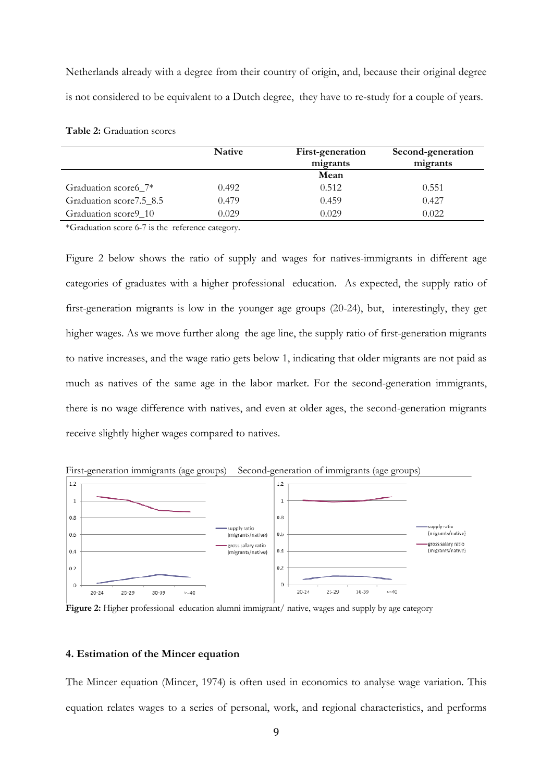Netherlands already with a degree from their country of origin, and, because their original degree is not considered to be equivalent to a Dutch degree, they have to re-study for a couple of years.

| Table 2: Graduation scores |
|----------------------------|
|                            |

|                          | <b>Native</b> | First-generation<br>migrants | Second-generation<br>migrants |
|--------------------------|---------------|------------------------------|-------------------------------|
|                          |               | Mean                         |                               |
| Graduation score6_7*     | 0.492         | 0.512                        | 0.551                         |
| Graduation score 7.5_8.5 | 0.479         | 0.459                        | 0.427                         |
| Graduation score 910     | 0.029         | 0.029                        | 0.022                         |

\*Graduation score 6-7 is the reference category.

Figure 2 below shows the ratio of supply and wages for natives-immigrants in different age categories of graduates with a higher professional education. As expected, the supply ratio of first-generation migrants is low in the younger age groups (20-24), but, interestingly, they get higher wages. As we move further along the age line, the supply ratio of first-generation migrants to native increases, and the wage ratio gets below 1, indicating that older migrants are not paid as much as natives of the same age in the labor market. For the second-generation immigrants, there is no wage difference with natives, and even at older ages, the second-generation migrants receive slightly higher wages compared to natives.



First-generation immigrants (age groups) Second-generation of immigrants (age groups)

**Figure 2:** Higher professional education alumni immigrant/ native, wages and supply by age category

#### **4. Estimation of the Mincer equation**

The Mincer equation (Mincer, 1974) is often used in economics to analyse wage variation. This equation relates wages to a series of personal, work, and regional characteristics, and performs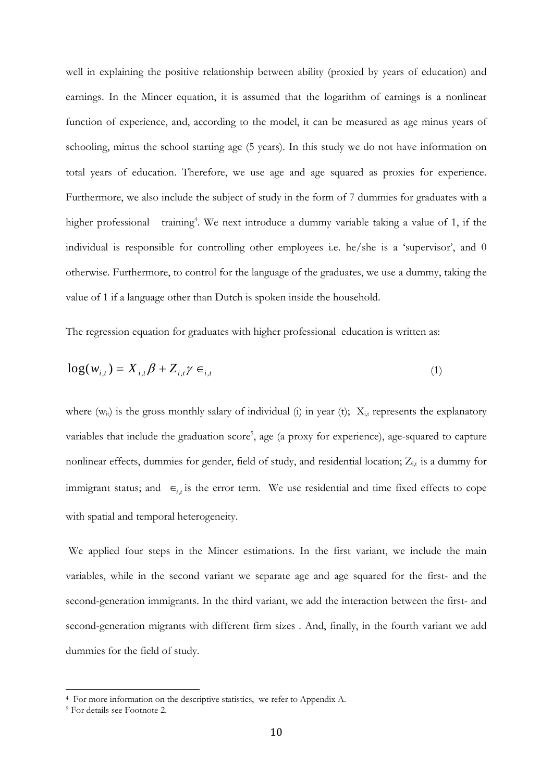well in explaining the positive relationship between ability (proxied by years of education) and earnings. In the Mincer equation, it is assumed that the logarithm of earnings is a nonlinear function of experience, and, according to the model, it can be measured as age minus years of schooling, minus the school starting age (5 years). In this study we do not have information on total years of education. Therefore, we use age and age squared as proxies for experience. Furthermore, we also include the subject of study in the form of 7 dummies for graduates with a higher professional training<sup>4</sup>. We next introduce a dummy variable taking a value of 1, if the individual is responsible for controlling other employees i.e. he/she is a 'supervisor', and 0 otherwise. Furthermore, to control for the language of the graduates, we use a dummy, taking the value of 1 if a language other than Dutch is spoken inside the household.

The regression equation for graduates with higher professional education is written as:

$$
\log(w_{i,t}) = X_{i,t} \beta + Z_{i,t} \gamma \in L_{i,t} \tag{1}
$$

where  $(w_{it})$  is the gross monthly salary of individual (i) in year (t);  $X_{i,t}$  represents the explanatory variables that include the graduation score<sup>5</sup>, age (a proxy for experience), age-squared to capture nonlinear effects, dummies for gender, field of study, and residential location;  $Z_{i,t}$  is a dummy for immigrant status; and  $\epsilon_{i,t}$  is the error term. We use residential and time fixed effects to cope with spatial and temporal heterogeneity.

 We applied four steps in the Mincer estimations. In the first variant, we include the main variables, while in the second variant we separate age and age squared for the first- and the second-generation immigrants. In the third variant, we add the interaction between the first- and second-generation migrants with different firm sizes . And, finally, in the fourth variant we add dummies for the field of study.

 

<sup>4</sup> For more information on the descriptive statistics, we refer to Appendix A.

<sup>5</sup> For details see Footnote 2.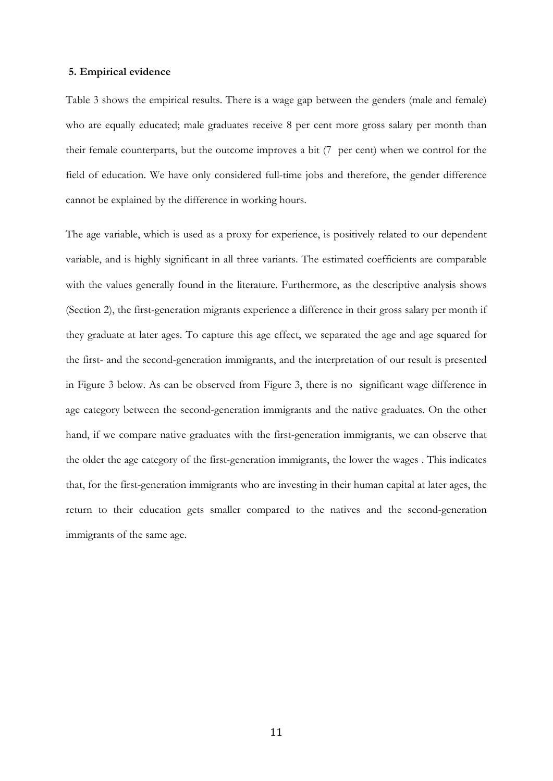#### **5. Empirical evidence**

Table 3 shows the empirical results. There is a wage gap between the genders (male and female) who are equally educated; male graduates receive 8 per cent more gross salary per month than their female counterparts, but the outcome improves a bit (7 per cent) when we control for the field of education. We have only considered full-time jobs and therefore, the gender difference cannot be explained by the difference in working hours.

The age variable, which is used as a proxy for experience, is positively related to our dependent variable, and is highly significant in all three variants. The estimated coefficients are comparable with the values generally found in the literature. Furthermore, as the descriptive analysis shows (Section 2), the first-generation migrants experience a difference in their gross salary per month if they graduate at later ages. To capture this age effect, we separated the age and age squared for the first- and the second-generation immigrants, and the interpretation of our result is presented in Figure 3 below. As can be observed from Figure 3, there is no significant wage difference in age category between the second-generation immigrants and the native graduates. On the other hand, if we compare native graduates with the first-generation immigrants, we can observe that the older the age category of the first-generation immigrants, the lower the wages . This indicates that, for the first-generation immigrants who are investing in their human capital at later ages, the return to their education gets smaller compared to the natives and the second-generation immigrants of the same age.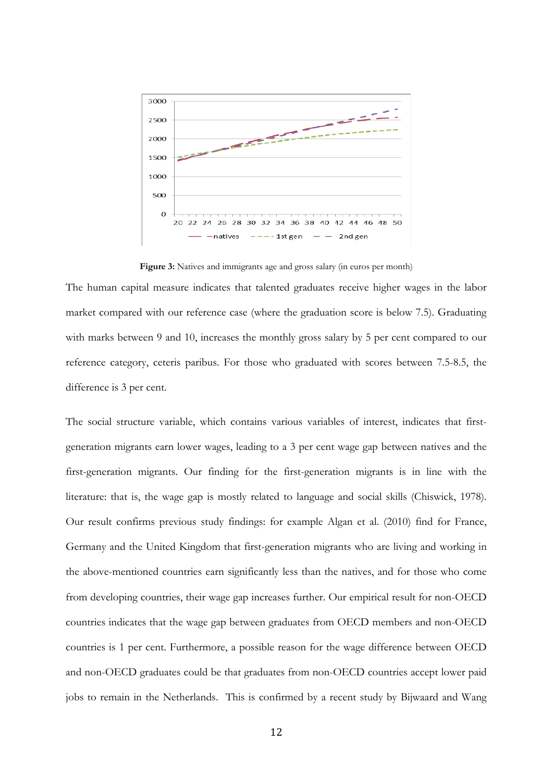

Figure 3: Natives and immigrants age and gross salary (in euros per month)

The human capital measure indicates that talented graduates receive higher wages in the labor market compared with our reference case (where the graduation score is below 7.5). Graduating with marks between 9 and 10, increases the monthly gross salary by 5 per cent compared to our reference category, ceteris paribus. For those who graduated with scores between 7.5-8.5, the difference is 3 per cent.

The social structure variable, which contains various variables of interest, indicates that firstgeneration migrants earn lower wages, leading to a 3 per cent wage gap between natives and the first-generation migrants. Our finding for the first-generation migrants is in line with the literature: that is, the wage gap is mostly related to language and social skills (Chiswick, 1978). Our result confirms previous study findings: for example Algan et al. (2010) find for France, Germany and the United Kingdom that first-generation migrants who are living and working in the above-mentioned countries earn significantly less than the natives, and for those who come from developing countries, their wage gap increases further. Our empirical result for non-OECD countries indicates that the wage gap between graduates from OECD members and non-OECD countries is 1 per cent. Furthermore, a possible reason for the wage difference between OECD and non-OECD graduates could be that graduates from non-OECD countries accept lower paid jobs to remain in the Netherlands. This is confirmed by a recent study by Bijwaard and Wang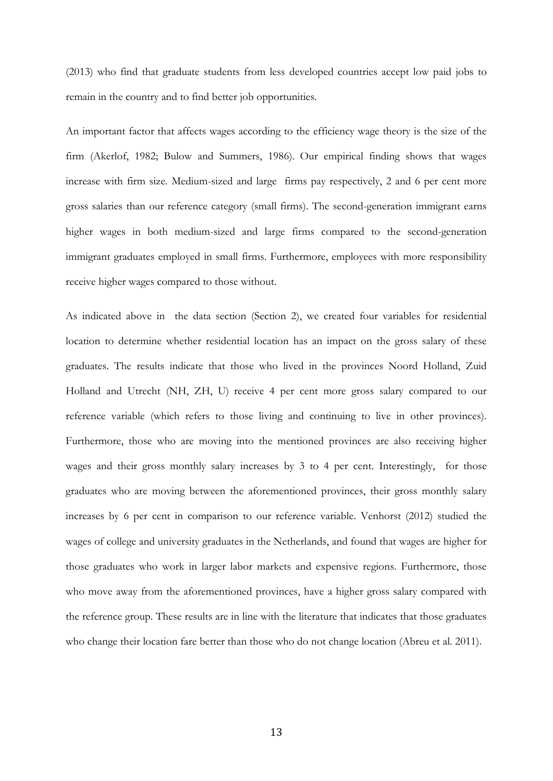(2013) who find that graduate students from less developed countries accept low paid jobs to remain in the country and to find better job opportunities.

An important factor that affects wages according to the efficiency wage theory is the size of the firm (Akerlof, 1982; Bulow and Summers, 1986). Our empirical finding shows that wages increase with firm size. Medium-sized and large firms pay respectively, 2 and 6 per cent more gross salaries than our reference category (small firms). The second-generation immigrant earns higher wages in both medium-sized and large firms compared to the second-generation immigrant graduates employed in small firms. Furthermore, employees with more responsibility receive higher wages compared to those without.

As indicated above in the data section (Section 2), we created four variables for residential location to determine whether residential location has an impact on the gross salary of these graduates. The results indicate that those who lived in the provinces Noord Holland, Zuid Holland and Utrecht (NH, ZH, U) receive 4 per cent more gross salary compared to our reference variable (which refers to those living and continuing to live in other provinces). Furthermore, those who are moving into the mentioned provinces are also receiving higher wages and their gross monthly salary increases by 3 to 4 per cent. Interestingly, for those graduates who are moving between the aforementioned provinces, their gross monthly salary increases by 6 per cent in comparison to our reference variable. Venhorst (2012) studied the wages of college and university graduates in the Netherlands, and found that wages are higher for those graduates who work in larger labor markets and expensive regions. Furthermore, those who move away from the aforementioned provinces, have a higher gross salary compared with the reference group. These results are in line with the literature that indicates that those graduates who change their location fare better than those who do not change location (Abreu et al. 2011).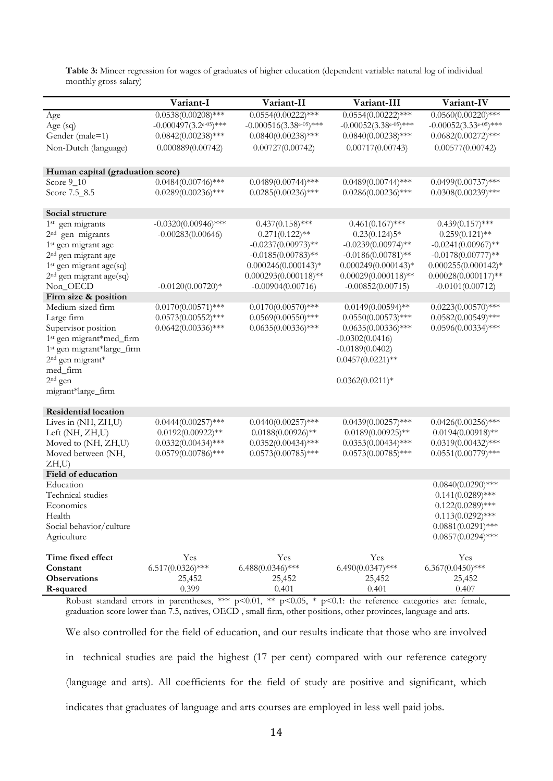**Table 3:** Mincer regression for wages of graduates of higher education (dependent variable: natural log of individual monthly gross salary)

|                                        | Variant-I                    | Variant-II                    | Variant-III                  | Variant-IV                   |
|----------------------------------------|------------------------------|-------------------------------|------------------------------|------------------------------|
| Age                                    | $0.0538(0.00208)$ ***        | $0.0554(0.00222)$ ***         | $0.0554(0.00222)$ ***        | $0.0560(0.00220)$ ***        |
| Age $(sq)$                             | $-0.000497(3.2e^{-0.5})$ *** | $-0.000516(3.38e^{-0.5})$ *** | $-0.00052(3.38e^{-0.5})$ *** | $-0.00052(3.33e^{-0.5})$ *** |
| Gender (male=1)                        | $0.0842(0.00238)$ ***        | $0.0840(0.00238)$ ***         | $0.0840(0.00238)$ ***        | $0.0682(0.00272)$ ***        |
| Non-Dutch (language)                   | 0.000889(0.00742)            | 0.00727(0.00742)              | 0.00717(0.00743)             | 0.00577(0.00742)             |
|                                        |                              |                               |                              |                              |
| Human capital (graduation score)       |                              |                               |                              |                              |
| Score $9-10$                           | $0.0484(0.00746)$ ***        | $0.0489(0.00744)$ ***         | $0.0489(0.00744)$ ***        | $0.0499(0.00737)$ ***        |
| Score 7.5_8.5                          | $0.0289(0.00236)$ ***        | $0.0285(0.00236)$ ***         | $0.0286(0.00236)$ ***        | $0.0308(0.00239)$ ***        |
| Social structure                       |                              |                               |                              |                              |
| 1 <sup>st</sup> gen migrants           | $-0.0320(0.00946)$ ***       | $0.437(0.158)$ ***            | $0.461(0.167)$ ***           | $0.439(0.157)$ ***           |
| 2 <sup>nd</sup> gen migrants           | $-0.00283(0.00646)$          | $0.271(0.122)$ **             | $0.23(0.124)5*$              | $0.259(0.121)$ **            |
| 1 <sup>st</sup> gen migrant age        |                              | $-0.0237(0.00973)$ **         | $-0.0239(0.00974)$ **        | $-0.0241(0.00967)$ **        |
| 2 <sup>nd</sup> gen migrant age        |                              | $-0.0185(0.00783)$ **         | $-0.0186(0.00781)$ **        | $-0.0178(0.00777)**$         |
| 1 <sup>st</sup> gen migrant age(sq)    |                              | $0.000246(0.000143)*$         | $0.000249(0.000143)*$        | $0.000255(0.000142)*$        |
| 2 <sup>nd</sup> gen migrant age(sq)    |                              | $0.000293(0.000118)$ **       | $0.00029(0.000118)$ **       | $0.00028(0.000117)$ **       |
| Non_OECD                               | $-0.0120(0.00720)*$          | $-0.00904(0.00716)$           | $-0.00852(0.00715)$          | $-0.0101(0.00712)$           |
| Firm size & position                   |                              |                               |                              |                              |
| Medium-sized firm                      | $0.0170(0.00571)$ ***        | $0.0170(0.00570)$ ***         | $0.0149(0.00594)$ **         | $0.0223(0.00570)$ ***        |
| Large firm                             | $0.0573(0.00552)$ ***        | $0.0569(0.00550)$ ***         | $0.0550(0.00573)$ ***        | $0.0582(0.00549)$ ***        |
| Supervisor position                    | $0.0642(0.00336)$ ***        | $0.0635(0.00336)$ ***         | $0.0635(0.00336)$ ***        | $0.0596(0.00334)$ ***        |
| 1 <sup>st</sup> gen migrant*med_firm   |                              |                               | $-0.0302(0.0416)$            |                              |
| 1 <sup>st</sup> gen migrant*large_firm |                              |                               | $-0.0189(0.0402)$            |                              |
| 2 <sup>nd</sup> gen migrant*           |                              |                               | $0.0457(0.0221)$ **          |                              |
| med_firm                               |                              |                               |                              |                              |
| $2nd$ gen                              |                              |                               | $0.0362(0.0211)*$            |                              |
| migrant*large_firm                     |                              |                               |                              |                              |
| <b>Residential location</b>            |                              |                               |                              |                              |
| Lives in (NH, ZH,U)                    | $0.0444(0.00257)$ ***        | $0.0440(0.00257)$ ***         | $0.0439(0.00257)$ ***        | $0.0426(0.00256)$ ***        |
| Left (NH, ZH,U)                        | $0.0192(0.00922)**$          | $0.0188(0.00926)*$            | $0.0189(0.00925)$ **         | $0.0194(0.00918)$ **         |
| Moved to (NH, ZH,U)                    | $0.0332(0.00434)$ ***        | $0.0352(0.00434)$ ***         | $0.0353(0.00434)$ ***        | $0.0319(0.00432)$ ***        |
| Moved between (NH,                     | $0.0579(0.00786)$ ***        | $0.0573(0.00785)$ ***         | $0.0573(0.00785)$ ***        | $0.0551(0.00779)$ ***        |
| ZH, U)                                 |                              |                               |                              |                              |
| Field of education                     |                              |                               |                              |                              |
| Education                              |                              |                               |                              | $0.0840(0.0290)$ ***         |
| Technical studies                      |                              |                               |                              | $0.141(0.0289)$ ***          |
| Economics                              |                              |                               |                              | $0.122(0.0289)$ ***          |
| Health                                 |                              |                               |                              | $0.113(0.0292)$ ***          |
| Social behavior/culture                |                              |                               |                              | $0.0881(0.0291)$ ***         |
| Agriculture                            |                              |                               |                              | $0.0857(0.0294)$ ***         |
| Time fixed effect                      | Yes                          | Yes                           | Yes                          | Yes                          |
| Constant                               | $6.517(0.0326)$ ***          | $6.488(0.0346)$ ***           | $6.490(0.0347)$ ***          | $6.367(0.0450)$ ***          |
| <b>Observations</b>                    | 25,452                       | 25,452                        | 25,452                       | 25,452                       |
| R-squared                              | 0.399                        | 0.401                         | 0.401                        | 0.407                        |

Robust standard errors in parentheses, \*\*\* p<0.01, \*\* p<0.05, \* p<0.1: the reference categories are: female, graduation score lower than 7.5, natives, OECD , small firm, other positions, other provinces, language and arts.

We also controlled for the field of education, and our results indicate that those who are involved in technical studies are paid the highest (17 per cent) compared with our reference category (language and arts). All coefficients for the field of study are positive and significant, which indicates that graduates of language and arts courses are employed in less well paid jobs.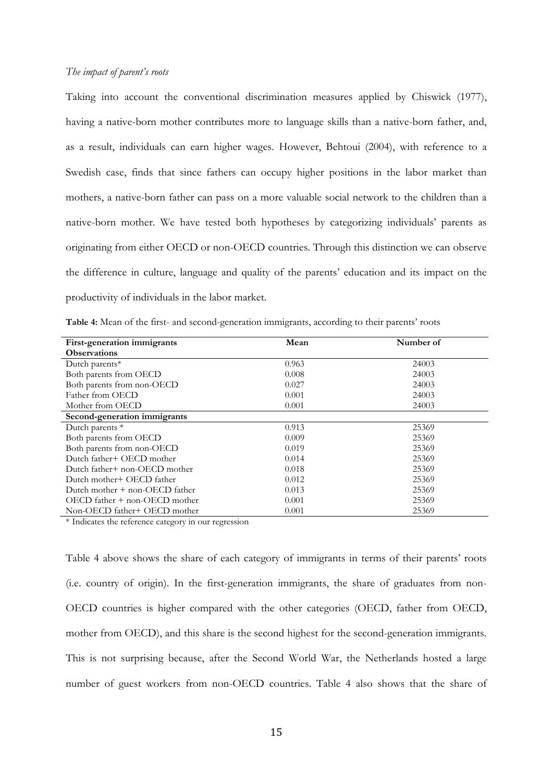#### *The impact of parent's roots*

Taking into account the conventional discrimination measures applied by Chiswick (1977), having a native-born mother contributes more to language skills than a native-born father, and, as a result, individuals can earn higher wages. However, Behtoui (2004), with reference to a Swedish case, finds that since fathers can occupy higher positions in the labor market than mothers, a native-born father can pass on a more valuable social network to the children than a native-born mother. We have tested both hypotheses by categorizing individuals' parents as originating from either OECD or non-OECD countries. Through this distinction we can observe the difference in culture, language and quality of the parents' education and its impact on the productivity of individuals in the labor market.

| First-generation immigrants          | Mean  | Number of |
|--------------------------------------|-------|-----------|
| <b>Observations</b>                  |       |           |
| Dutch parents*                       | 0.963 | 24003     |
| Both parents from OECD               | 0.008 | 24003     |
| Both parents from non-OECD           | 0.027 | 24003     |
| Father from OECD                     | 0.001 | 24003     |
| Mother from OECD                     | 0.001 | 24003     |
| Second-generation immigrants         |       |           |
| Dutch parents *                      | 0.913 | 25369     |
| Both parents from OECD               | 0.009 | 25369     |
| Both parents from non-OECD           | 0.019 | 25369     |
| Dutch father+ OECD mother            | 0.014 | 25369     |
| Dutch father+ non-OECD mother        | 0.018 | 25369     |
| Dutch mother+ OECD father            | 0.012 | 25369     |
| Dutch mother $+$ non-OECD father     | 0.013 | 25369     |
| $OECD$ father $+$ non- $OECD$ mother | 0.001 | 25369     |
| Non-OECD father+ OECD mother         | 0.001 | 25369     |

**Table 4:** Mean of the first- and second-generation immigrants, according to their parents' roots

\* Indicates the reference category in our regression

Table 4 above shows the share of each category of immigrants in terms of their parents' roots (i.e. country of origin). In the first-generation immigrants, the share of graduates from non-OECD countries is higher compared with the other categories (OECD, father from OECD, mother from OECD), and this share is the second highest for the second-generation immigrants. This is not surprising because, after the Second World War, the Netherlands hosted a large number of guest workers from non-OECD countries. Table 4 also shows that the share of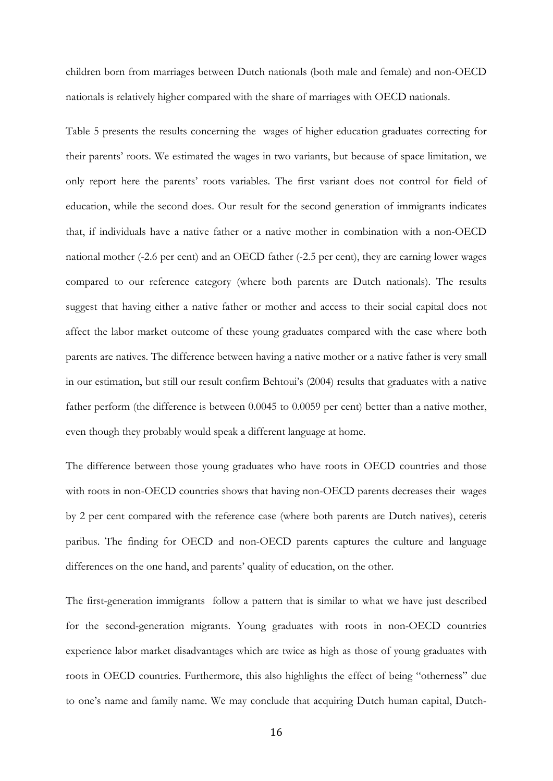children born from marriages between Dutch nationals (both male and female) and non-OECD nationals is relatively higher compared with the share of marriages with OECD nationals.

Table 5 presents the results concerning the wages of higher education graduates correcting for their parents' roots. We estimated the wages in two variants, but because of space limitation, we only report here the parents' roots variables. The first variant does not control for field of education, while the second does. Our result for the second generation of immigrants indicates that, if individuals have a native father or a native mother in combination with a non-OECD national mother (-2.6 per cent) and an OECD father (-2.5 per cent), they are earning lower wages compared to our reference category (where both parents are Dutch nationals). The results suggest that having either a native father or mother and access to their social capital does not affect the labor market outcome of these young graduates compared with the case where both parents are natives. The difference between having a native mother or a native father is very small in our estimation, but still our result confirm Behtoui's (2004) results that graduates with a native father perform (the difference is between 0.0045 to 0.0059 per cent) better than a native mother, even though they probably would speak a different language at home.

The difference between those young graduates who have roots in OECD countries and those with roots in non-OECD countries shows that having non-OECD parents decreases their wages by 2 per cent compared with the reference case (where both parents are Dutch natives), ceteris paribus. The finding for OECD and non-OECD parents captures the culture and language differences on the one hand, and parents' quality of education, on the other.

The first-generation immigrants follow a pattern that is similar to what we have just described for the second-generation migrants. Young graduates with roots in non-OECD countries experience labor market disadvantages which are twice as high as those of young graduates with roots in OECD countries. Furthermore, this also highlights the effect of being "otherness" due to one's name and family name. We may conclude that acquiring Dutch human capital, Dutch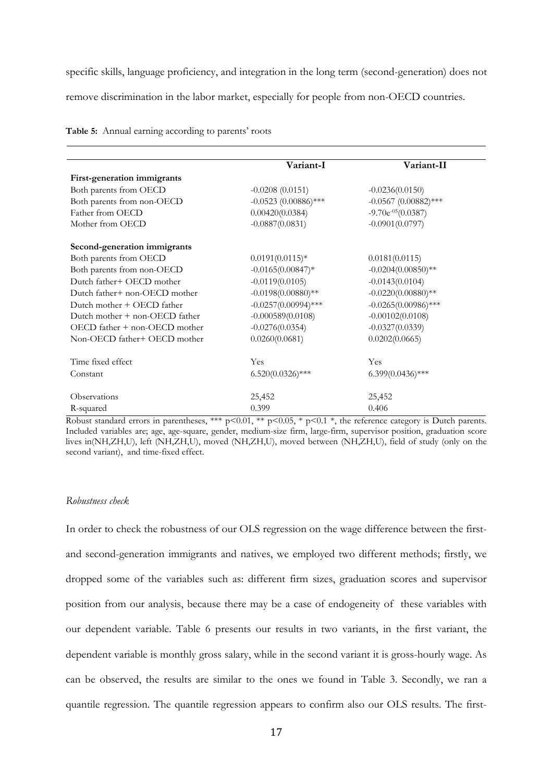specific skills, language proficiency, and integration in the long term (second-generation) does not remove discrimination in the labor market, especially for people from non-OECD countries.

|                                      | Variant-I              | Variant-II             |
|--------------------------------------|------------------------|------------------------|
| First-generation immigrants          |                        |                        |
| Both parents from OECD               | $-0.0208(0.0151)$      | $-0.0236(0.0150)$      |
| Both parents from non-OECD           | $-0.0523$ (0.00886)*** | $-0.0567$ (0.00882)*** |
| Father from OECD                     | 0.00420(0.0384)        | $-9.70e^{-05}(0.0387)$ |
| Mother from OECD                     | $-0.0887(0.0831)$      | $-0.0901(0.0797)$      |
| Second-generation immigrants         |                        |                        |
| Both parents from OECD               | $0.0191(0.0115)*$      | 0.0181(0.0115)         |
| Both parents from non-OECD           | $-0.0165(0.00847)*$    | $-0.0204(0.00850)$ **  |
| Dutch father+ OECD mother            | $-0.0119(0.0105)$      | $-0.0143(0.0104)$      |
| Dutch father+ non-OECD mother        | $-0.0198(0.00880)$ **  | $-0.0220(0.00880)$ **  |
| Dutch mother + OECD father           | $-0.0257(0.00994)$ *** | $-0.0265(0.00986)$ *** |
| Dutch mother $+$ non-OECD father     | $-0.000589(0.0108)$    | $-0.00102(0.0108)$     |
| $OECD$ father $+$ non- $OECD$ mother | $-0.0276(0.0354)$      | $-0.0327(0.0339)$      |
| Non-OECD father+ OECD mother         | 0.0260(0.0681)         | 0.0202(0.0665)         |
| Time fixed effect                    | Yes                    | Yes                    |
| Constant                             | $6.520(0.0326)$ ***    | $6.399(0.0436)$ ***    |
| <b>Observations</b>                  | 25,452                 | 25,452                 |
| R-squared                            | 0.399                  | 0.406                  |

**Table 5:** Annual earning according to parents' roots

Robust standard errors in parentheses, \*\*\* p<0.01, \*\* p<0.05, \* p<0.1 \*, the reference category is Dutch parents. Included variables are; age, age-square, gender, medium-size firm, large-firm, supervisor position, graduation score lives in(NH,ZH,U), left (NH,ZH,U), moved (NH,ZH,U), moved between (NH,ZH,U), field of study (only on the second variant), and time-fixed effect.

#### *Robustness check*

In order to check the robustness of our OLS regression on the wage difference between the firstand second-generation immigrants and natives, we employed two different methods; firstly, we dropped some of the variables such as: different firm sizes, graduation scores and supervisor position from our analysis, because there may be a case of endogeneity of these variables with our dependent variable. Table 6 presents our results in two variants, in the first variant, the dependent variable is monthly gross salary, while in the second variant it is gross-hourly wage. As can be observed, the results are similar to the ones we found in Table 3. Secondly, we ran a quantile regression. The quantile regression appears to confirm also our OLS results. The first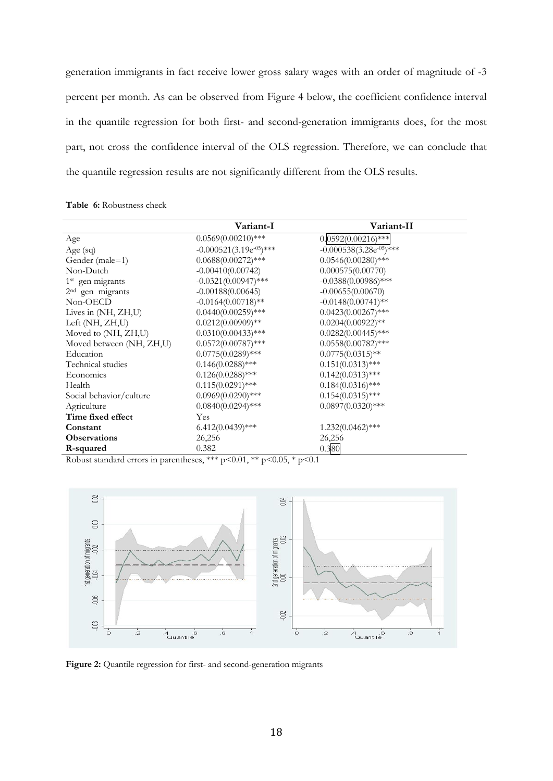generation immigrants in fact receive lower gross salary wages with an order of magnitude of -3 percent per month. As can be observed from Figure 4 below, the coefficient confidence interval in the quantile regression for both first- and second-generation immigrants does, for the most part, not cross the confidence interval of the OLS regression. Therefore, we can conclude that the quantile regression results are not significantly different from the OLS results.

| Table 6: Robustness check |
|---------------------------|
|---------------------------|

|                              | Variant-I                     | Variant-II                    |
|------------------------------|-------------------------------|-------------------------------|
| Age                          | $0.0569(0.00210)$ ***         | $0.0592(0.00216)$ ***         |
| Age $(sq)$                   | $-0.000521(3.19e^{-0.5})$ *** | $-0.000538(3.28e^{-0.5})$ *** |
| Gender (male=1)              | $0.0688(0.00272)$ ***         | $0.0546(0.00280)$ ***         |
| Non-Dutch                    | $-0.00410(0.00742)$           | 0.000575(0.00770)             |
| 1 <sup>st</sup> gen migrants | $-0.0321(0.00947)$ ***        | $-0.0388(0.00986)$ ***        |
| 2 <sup>nd</sup> gen migrants | $-0.00188(0.00645)$           | $-0.00655(0.00670)$           |
| Non-OECD                     | $-0.0164(0.00718)$ **         | $-0.0148(0.00741)$ **         |
| Lives in (NH, ZH,U)          | $0.0440(0.00259)$ ***         | $0.0423(0.00267)$ ***         |
| Left (NH, ZH, U)             | $0.0212(0.00909)**$           | $0.0204(0.00922)**$           |
| Moved to (NH, ZH,U)          | $0.0310(0.00433)$ ***         | $0.0282(0.00445)$ ***         |
| Moved between (NH, ZH,U)     | $0.0572(0.00787)$ ***         | $0.0558(0.00782)$ ***         |
| Education                    | $0.0775(0.0289)$ ***          | $0.0775(0.0315)$ **           |
| Technical studies            | $0.146(0.0288)$ ***           | $0.151(0.0313)$ ***           |
| Economics                    | $0.126(0.0288)$ ***           | $0.142(0.0313)$ ***           |
| Health                       | $0.115(0.0291)$ ***           | $0.184(0.0316)$ ***           |
| Social behavior/culture      | $0.0969(0.0290)$ ***          | $0.154(0.0315)$ ***           |
| Agriculture                  | $0.0840(0.0294)$ ***          | $0.0897(0.0320)$ ***          |
| Time fixed effect            | Yes                           |                               |
| Constant                     | $6.412(0.0439)$ ***           | $1.232(0.0462)$ ***           |
| <b>Observations</b>          | 26,256                        | 26,256                        |
| R-squared                    | 0.382                         | 0.380                         |

Robust standard errors in parentheses, \*\*\* p<0.01, \*\* p<0.05, \* p<0.1



Figure 2: Quantile regression for first- and second-generation migrants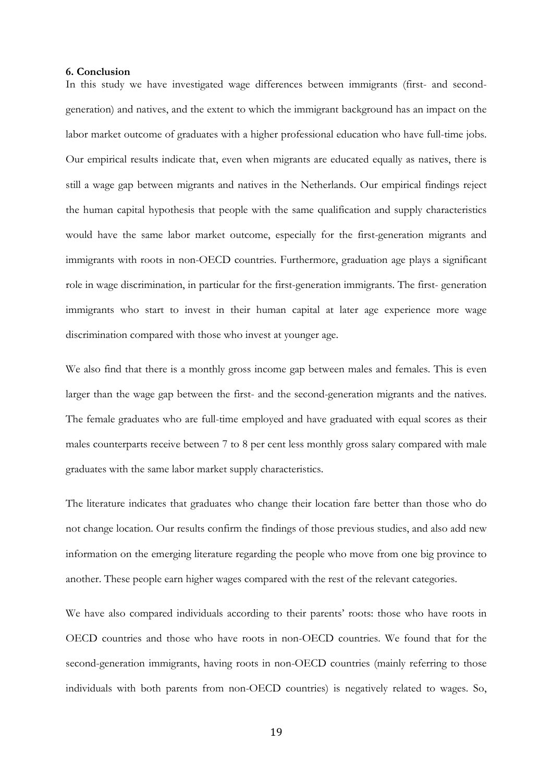#### **6. Conclusion**

In this study we have investigated wage differences between immigrants (first- and secondgeneration) and natives, and the extent to which the immigrant background has an impact on the labor market outcome of graduates with a higher professional education who have full-time jobs. Our empirical results indicate that, even when migrants are educated equally as natives, there is still a wage gap between migrants and natives in the Netherlands. Our empirical findings reject the human capital hypothesis that people with the same qualification and supply characteristics would have the same labor market outcome, especially for the first-generation migrants and immigrants with roots in non-OECD countries. Furthermore, graduation age plays a significant role in wage discrimination, in particular for the first-generation immigrants. The first- generation immigrants who start to invest in their human capital at later age experience more wage discrimination compared with those who invest at younger age.

We also find that there is a monthly gross income gap between males and females. This is even larger than the wage gap between the first- and the second-generation migrants and the natives. The female graduates who are full-time employed and have graduated with equal scores as their males counterparts receive between 7 to 8 per cent less monthly gross salary compared with male graduates with the same labor market supply characteristics.

The literature indicates that graduates who change their location fare better than those who do not change location. Our results confirm the findings of those previous studies, and also add new information on the emerging literature regarding the people who move from one big province to another. These people earn higher wages compared with the rest of the relevant categories.

We have also compared individuals according to their parents' roots: those who have roots in OECD countries and those who have roots in non-OECD countries. We found that for the second-generation immigrants, having roots in non-OECD countries (mainly referring to those individuals with both parents from non-OECD countries) is negatively related to wages. So,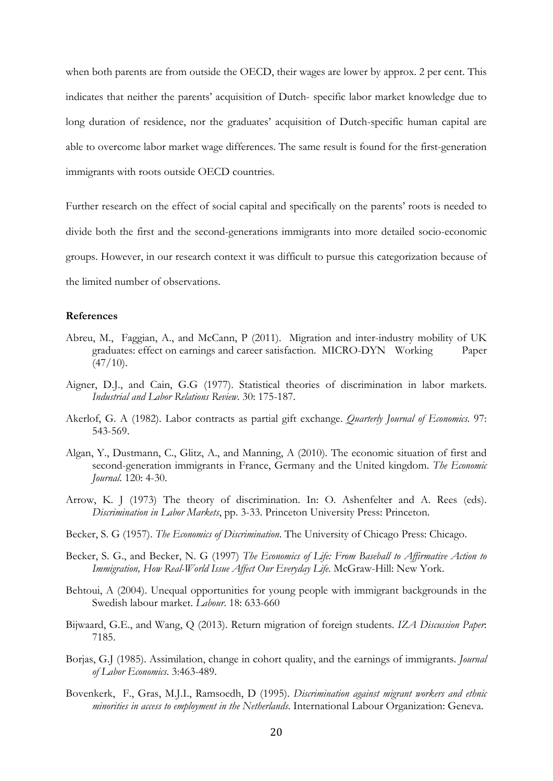when both parents are from outside the OECD, their wages are lower by approx. 2 per cent. This indicates that neither the parents' acquisition of Dutch- specific labor market knowledge due to long duration of residence, nor the graduates' acquisition of Dutch-specific human capital are able to overcome labor market wage differences. The same result is found for the first-generation immigrants with roots outside OECD countries.

Further research on the effect of social capital and specifically on the parents' roots is needed to divide both the first and the second-generations immigrants into more detailed socio-economic groups. However, in our research context it was difficult to pursue this categorization because of the limited number of observations.

#### **References**

- Abreu, M., Faggian, A., and McCann, P (2011). Migration and inter-industry mobility of UK graduates: effect on earnings and career satisfaction. MICRO-DYN Working Paper  $(47/10)$ .
- Aigner, D.J., and Cain, G.G (1977). Statistical theories of discrimination in labor markets. *Industrial and Labor Relations Review*. 30: 175-187.
- Akerlof, G. A (1982). Labor contracts as partial gift exchange. *Quarterly Journal of Economics*. 97: 543-569.
- Algan, Y., Dustmann, C., Glitz, A., and Manning, A (2010). The economic situation of first and second-generation immigrants in France, Germany and the United kingdom. *The Economic Journal*. 120: 4-30.
- Arrow, K. J (1973) The theory of discrimination. In: O. Ashenfelter and A. Rees (eds). *Discrimination in Labor Markets*, pp. 3-33. Princeton University Press: Princeton.
- Becker, S. G (1957). *The Economics of Discrimination*. The University of Chicago Press: Chicago.
- Becker, S. G., and Becker, N. G (1997) *The Economics of Life: From Baseball to Affirmative Action to Immigration, How Real-World Issue Affect Our Everyday Life*. McGraw-Hill: New York.
- Behtoui, A (2004). Unequal opportunities for young people with immigrant backgrounds in the Swedish labour market. *Labour*. 18: 633-660
- Bijwaard, G.E., and Wang, Q (2013). Return migration of foreign students. *IZA Discussion Paper*: 7185.
- Borjas, G.J (1985). Assimilation, change in cohort quality, and the earnings of immigrants. *Journal of Labor Economics*. 3:463-489.
- Bovenkerk, F., Gras, M.J.I., Ramsoedh, D (1995). *Discrimination against migrant workers and ethnic minorities in access to employment in the Netherlands*. International Labour Organization: Geneva.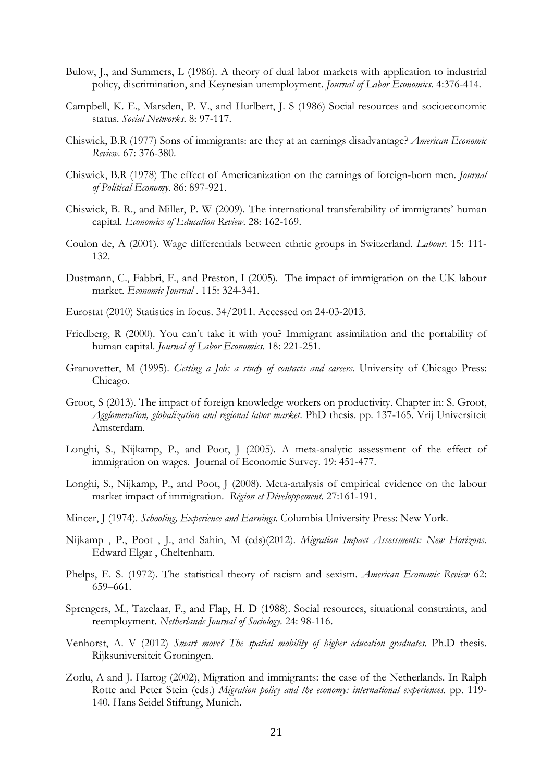- Bulow, J., and Summers, L (1986). A theory of dual labor markets with application to industrial policy, discrimination, and Keynesian unemployment. *Journal of Labor Economics*. 4:376-414.
- Campbell, K. E., Marsden, P. V., and Hurlbert, J. S (1986) Social resources and socioeconomic status. *Social Networks*. 8: 97-117.
- Chiswick, B.R (1977) Sons of immigrants: are they at an earnings disadvantage? *American Economic Review*. 67: 376-380.
- Chiswick, B.R (1978) The effect of Americanization on the earnings of foreign-born men. *Journal of Political Economy*. 86: 897-921.
- Chiswick, B. R., and Miller, P. W (2009). The international transferability of immigrants' human capital. *Economics of Education Review*. 28: 162-169.
- Coulon de, A (2001). Wage differentials between ethnic groups in Switzerland. *Labour*. 15: 111- 132.
- Dustmann, C., Fabbri, F., and Preston, I (2005). The impact of immigration on the UK labour market. *Economic Journal* . 115: 324-341.
- Eurostat (2010) Statistics in focus. 34/2011. Accessed on 24-03-2013.
- Friedberg, R (2000). You can't take it with you? Immigrant assimilation and the portability of human capital. *Journal of Labor Economics*. 18: 221-251.
- Granovetter, M (1995). *Getting a Job: a study of contacts and careers*. University of Chicago Press: Chicago.
- Groot, S (2013). The impact of foreign knowledge workers on productivity. Chapter in: S. Groot, *Agglomeration, globalization and regional labor market*. PhD thesis. pp. 137-165. Vrij Universiteit Amsterdam.
- Longhi, S., Nijkamp, P., and Poot, J (2005). A meta-analytic assessment of the effect of immigration on wages. Journal of Economic Survey. 19: 451-477.
- Longhi, S., Nijkamp, P., and Poot, J (2008). Meta-analysis of empirical evidence on the labour market impact of immigration. *Région et Développement.* 27:161-191.
- Mincer, J (1974). *Schooling, Experience and Earnings*. Columbia University Press: New York.
- Nijkamp , P., Poot , J., and Sahin, M (eds)(2012). *Migration Impact Assessments: New Horizons*. Edward Elgar , Cheltenham.
- Phelps, E. S. (1972). The statistical theory of racism and sexism. *American Economic Review* 62: 659–661.
- Sprengers, M., Tazelaar, F., and Flap, H. D (1988). Social resources, situational constraints, and reemployment. *Netherlands Journal of Sociology*. 24: 98-116.
- Venhorst, A. V (2012) *Smart move? The spatial mobility of higher education graduates*. Ph.D thesis. Rijksuniversiteit Groningen.
- Zorlu, A and J. Hartog (2002), Migration and immigrants: the case of the Netherlands. In Ralph Rotte and Peter Stein (eds.) *Migration policy and the economy: international experiences*. pp. 119- 140. Hans Seidel Stiftung, Munich.